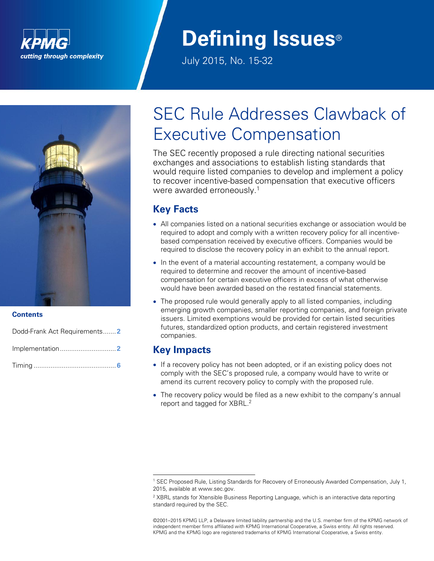

# **Defining Issues**®

July 2015, No. 15-32



#### **Contents**

Dodd-Frank Act Requirements.......**2** Implementation..............................**2**

Timing ............................................**6**

## SEC Rule Addresses Clawback of Executive Compensation

The SEC recently proposed a rule directing national securities exchanges and associations to establish listing standards that would require listed companies to develop and implement a policy to recover incentive-based compensation that executive officers were awarded erroneously.<sup>1</sup>

## **Key Facts**

- All companies listed on a national securities exchange or association would be required to adopt and comply with a written recovery policy for all incentivebased compensation received by executive officers. Companies would be required to disclose the recovery policy in an exhibit to the annual report.
- In the event of a material accounting restatement, a company would be required to determine and recover the amount of incentive-based compensation for certain executive officers in excess of what otherwise would have been awarded based on the restated financial statements.
- The proposed rule would generally apply to all listed companies, including emerging growth companies, smaller reporting companies, and foreign private issuers. Limited exemptions would be provided for certain listed securities futures, standardized option products, and certain registered investment companies.

### **Key Impacts**

 $\overline{a}$ 

- If a recovery policy has not been adopted, or if an existing policy does not comply with the SEC's proposed rule, a company would have to write or amend its current recovery policy to comply with the proposed rule.
- The recovery policy would be filed as a new exhibit to the company's annual report and tagged for XBRL.<sup>2</sup>

<sup>1</sup> SEC Proposed Rule, Listing Standards for Recovery of Erroneously Awarded Compensation, July 1, 2015, available at www.sec.gov.

 $2$  XBRL stands for Xtensible Business Reporting Language, which is an interactive data reporting standard required by the SEC.

<sup>©2001</sup>–2015 KPMG LLP, a Delaware limited liability partnership and the U.S. member firm of the KPMG network of independent member firms affiliated with KPMG International Cooperative, a Swiss entity. All rights reserved. KPMG and the KPMG logo are registered trademarks of KPMG International Cooperative, a Swiss entity.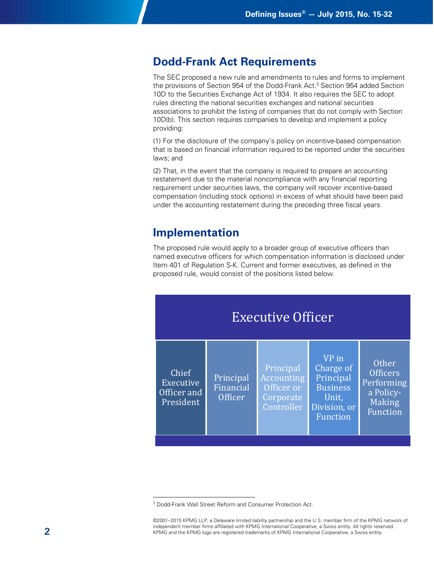## **Dodd-Frank Act Requirements**

The SEC proposed a new rule and amendments to rules and forms to implement the provisions of Section 954 of the Dodd-Frank Act. <sup>3</sup> Section 954 added Section 10D to the Securities Exchange Act of 1934. It also requires the SEC to adopt rules directing the national securities exchanges and national securities associations to prohibit the listing of companies that do not comply with Section 10D(b). This section requires companies to develop and implement a policy providing:

(1) For the disclosure of the company's policy on incentive-based compensation that is based on financial information required to be reported under the securities laws; and

(2) That, in the event that the company is required to prepare an accounting restatement due to the material noncompliance with any financial reporting requirement under securities laws, the company will recover incentive-based compensation (including stock options) in excess of what should have been paid under the accounting restatement during the preceding three fiscal years.

## **Implementation**

The proposed rule would apply to a broader group of executive officers than named executive officers for which compensation information is disclosed under Item 401 of Regulation S-K. Current and former executives, as defined in the proposed rule, would consist of the positions listed below.



 $\overline{a}$ <sup>3</sup> Dodd-Frank Wall Street Reform and Consumer Protection Act.

<sup>©2001</sup>–2015 KPMG LLP, a Delaware limited liability partnership and the U.S. member firm of the KPMG network of independent member firms affiliated with KPMG International Cooperative, a Swiss entity. All rights reserved. KPMG and the KPMG logo are registered trademarks of KPMG International Cooperative, a Swiss entity.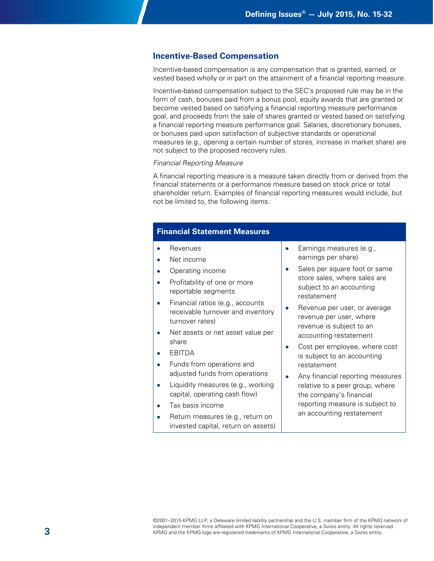#### **Incentive-Based Compensation**

Incentive-based compensation is any compensation that is granted, earned, or vested based wholly or in part on the attainment of a financial reporting measure.

Incentive-based compensation subject to the SEC's proposed rule may be in the form of cash, bonuses paid from a bonus pool, equity awards that are granted or become vested based on satisfying a financial reporting measure performance goal, and proceeds from the sale of shares granted or vested based on satisfying a financial reporting measure performance goal. Salaries, discretionary bonuses, or bonuses paid upon satisfaction of subjective standards or operational measures (e.g., opening a certain number of stores, increase in market share) are not subject to the proposed recovery rules.

#### *Financial Reporting Measure*

A financial reporting measure is a measure taken directly from or derived from the financial statements or a performance measure based on stock price or total shareholder return. Examples of financial reporting measures would include, but not be limited to, the following items.

#### **Financial Statement Measures**

- Revenues
- Net income
- Operating income
- Profitability of one or more reportable segments
- Financial ratios (e.g., accounts receivable turnover and inventory turnover rates)
- Net assets or net asset value per share
- EBITDA
- Funds from operations and adjusted funds from operations
- Liquidity measures (e.g., working capital, operating cash flow)
- Tax basis income
- Return measures (e.g., return on invested capital, return on assets)
- **Earnings measures (e.g.,** earnings per share)
- Sales per square foot or same store sales, where sales are subject to an accounting restatement
- Revenue per user, or average revenue per user, where revenue is subject to an accounting restatement
- Cost per employee, where cost is subject to an accounting restatement
- Any financial reporting measures relative to a peer group, where the company's financial reporting measure is subject to an accounting restatement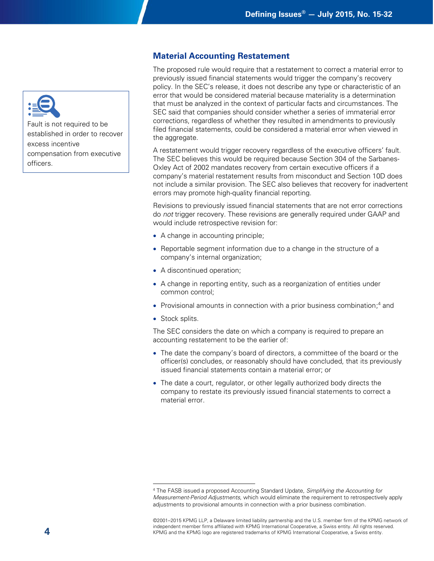

Fault is not required to be established in order to recover excess incentive compensation from executive officers.

#### **Material Accounting Restatement**

The proposed rule would require that a restatement to correct a material error to previously issued financial statements would trigger the company's recovery policy. In the SEC's release, it does not describe any type or characteristic of an error that would be considered material because materiality is a determination that must be analyzed in the context of particular facts and circumstances. The SEC said that companies should consider whether a series of immaterial error corrections, regardless of whether they resulted in amendments to previously filed financial statements, could be considered a material error when viewed in the aggregate.

A restatement would trigger recovery regardless of the executive officers' fault. The SEC believes this would be required because Section 304 of the Sarbanes-Oxley Act of 2002 mandates recovery from certain executive officers if a company's material restatement results from misconduct and Section 10D does not include a similar provision. The SEC also believes that recovery for inadvertent errors may promote high-quality financial reporting.

Revisions to previously issued financial statements that are not error corrections do *not* trigger recovery. These revisions are generally required under GAAP and would include retrospective revision for:

- A change in accounting principle;
- Reportable segment information due to a change in the structure of a company's internal organization;
- A discontinued operation;
- A change in reporting entity, such as a reorganization of entities under common control;
- Provisional amounts in connection with a prior business combination;<sup>4</sup> and
- Stock splits.

 $\overline{a}$ 

The SEC considers the date on which a company is required to prepare an accounting restatement to be the earlier of:

- The date the company's board of directors, a committee of the board or the officer(s) concludes, or reasonably should have concluded, that its previously issued financial statements contain a material error; or
- The date a court, regulator, or other legally authorized body directs the company to restate its previously issued financial statements to correct a material error.

<sup>4</sup> The FASB issued a proposed Accounting Standard Update, *Simplifying the Accounting for Measurement-Period Adjustments*, which would eliminate the requirement to retrospectively apply adjustments to provisional amounts in connection with a prior business combination.

<sup>©2001</sup>–2015 KPMG LLP, a Delaware limited liability partnership and the U.S. member firm of the KPMG network of independent member firms affiliated with KPMG International Cooperative, a Swiss entity. All rights reserved. KPMG and the KPMG logo are registered trademarks of KPMG International Cooperative, a Swiss entity.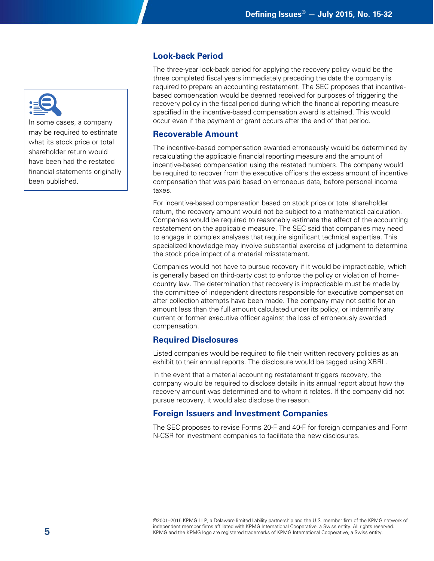

In some cases, a company may be required to estimate what its stock price or total shareholder return would have been had the restated financial statements originally been published.

#### **Look-back Period**

The three-year look-back period for applying the recovery policy would be the three completed fiscal years immediately preceding the date the company is required to prepare an accounting restatement. The SEC proposes that incentivebased compensation would be deemed received for purposes of triggering the recovery policy in the fiscal period during which the financial reporting measure specified in the incentive-based compensation award is attained. This would occur even if the payment or grant occurs after the end of that period.

#### **Recoverable Amount**

The incentive-based compensation awarded erroneously would be determined by recalculating the applicable financial reporting measure and the amount of incentive-based compensation using the restated numbers. The company would be required to recover from the executive officers the excess amount of incentive compensation that was paid based on erroneous data, before personal income taxes.

For incentive-based compensation based on stock price or total shareholder return, the recovery amount would not be subject to a mathematical calculation. Companies would be required to reasonably estimate the effect of the accounting restatement on the applicable measure. The SEC said that companies may need to engage in complex analyses that require significant technical expertise. This specialized knowledge may involve substantial exercise of judgment to determine the stock price impact of a material misstatement.

Companies would not have to pursue recovery if it would be impracticable, which is generally based on third-party cost to enforce the policy or violation of homecountry law. The determination that recovery is impracticable must be made by the committee of independent directors responsible for executive compensation after collection attempts have been made. The company may not settle for an amount less than the full amount calculated under its policy, or indemnify any current or former executive officer against the loss of erroneously awarded compensation.

#### **Required Disclosures**

Listed companies would be required to file their written recovery policies as an exhibit to their annual reports. The disclosure would be tagged using XBRL.

In the event that a material accounting restatement triggers recovery, the company would be required to disclose details in its annual report about how the recovery amount was determined and to whom it relates. If the company did not pursue recovery, it would also disclose the reason.

#### **Foreign Issuers and Investment Companies**

The SEC proposes to revise Forms 20-F and 40-F for foreign companies and Form N-CSR for investment companies to facilitate the new disclosures.